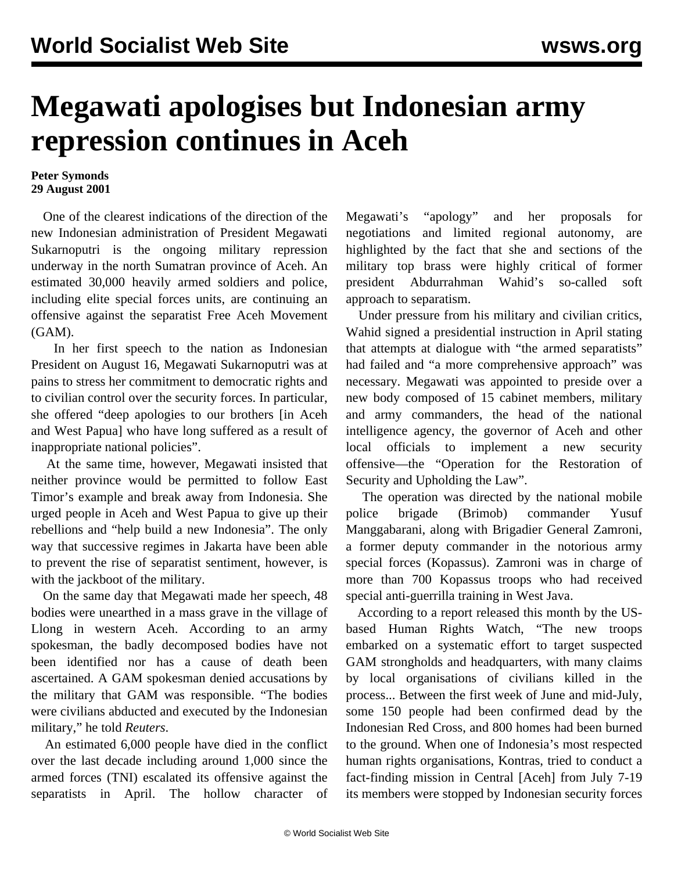## **Megawati apologises but Indonesian army repression continues in Aceh**

## **Peter Symonds 29 August 2001**

 One of the clearest indications of the direction of the new Indonesian administration of President Megawati Sukarnoputri is the ongoing military repression underway in the north Sumatran province of Aceh. An estimated 30,000 heavily armed soldiers and police, including elite special forces units, are continuing an offensive against the separatist Free Aceh Movement (GAM).

 In her first speech to the nation as Indonesian President on August 16, Megawati Sukarnoputri was at pains to stress her commitment to democratic rights and to civilian control over the security forces. In particular, she offered "deep apologies to our brothers [in Aceh and West Papua] who have long suffered as a result of inappropriate national policies".

 At the same time, however, Megawati insisted that neither province would be permitted to follow East Timor's example and break away from Indonesia. She urged people in Aceh and West Papua to give up their rebellions and "help build a new Indonesia". The only way that successive regimes in Jakarta have been able to prevent the rise of separatist sentiment, however, is with the jackboot of the military.

 On the same day that Megawati made her speech, 48 bodies were unearthed in a mass grave in the village of Llong in western Aceh. According to an army spokesman, the badly decomposed bodies have not been identified nor has a cause of death been ascertained. A GAM spokesman denied accusations by the military that GAM was responsible. "The bodies were civilians abducted and executed by the Indonesian military," he told *Reuters*.

 An estimated 6,000 people have died in the conflict over the last decade including around 1,000 since the armed forces (TNI) escalated its offensive against the separatists in April. The hollow character of Megawati's "apology" and her proposals for negotiations and limited regional autonomy, are highlighted by the fact that she and sections of the military top brass were highly critical of former president Abdurrahman Wahid's so-called soft approach to separatism.

 Under pressure from his military and civilian critics, Wahid signed a presidential instruction in April stating that attempts at dialogue with "the armed separatists" had failed and "a more comprehensive approach" was necessary. Megawati was appointed to preside over a new body composed of 15 cabinet members, military and army commanders, the head of the national intelligence agency, the governor of Aceh and other local officials to implement a new security offensive—the "Operation for the Restoration of Security and Upholding the Law".

 The operation was directed by the national mobile police brigade (Brimob) commander Yusuf Manggabarani, along with Brigadier General Zamroni, a former deputy commander in the notorious army special forces (Kopassus). Zamroni was in charge of more than 700 Kopassus troops who had received special anti-guerrilla training in West Java.

 According to a report released this month by the USbased Human Rights Watch, "The new troops embarked on a systematic effort to target suspected GAM strongholds and headquarters, with many claims by local organisations of civilians killed in the process... Between the first week of June and mid-July, some 150 people had been confirmed dead by the Indonesian Red Cross, and 800 homes had been burned to the ground. When one of Indonesia's most respected human rights organisations, Kontras, tried to conduct a fact-finding mission in Central [Aceh] from July 7-19 its members were stopped by Indonesian security forces